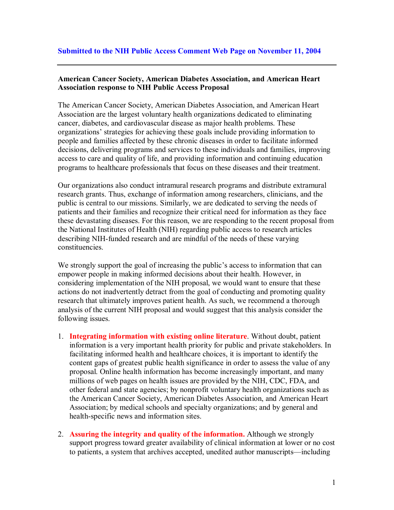## **American Cancer Society, American Diabetes Association, and American Heart Association response to NIH Public Access Proposal**

The American Cancer Society, American Diabetes Association, and American Heart Association are the largest voluntary health organizations dedicated to eliminating cancer, diabetes, and cardiovascular disease as major health problems. These organizations' strategies for achieving these goals include providing information to people and families affected by these chronic diseases in order to facilitate informed decisions, delivering programs and services to these individuals and families, improving access to care and quality of life, and providing information and continuing education programs to healthcare professionals that focus on these diseases and their treatment.

Our organizations also conduct intramural research programs and distribute extramural research grants. Thus, exchange of information among researchers, clinicians, and the public is central to our missions. Similarly, we are dedicated to serving the needs of patients and their families and recognize their critical need for information as they face these devastating diseases. For this reason, we are responding to the recent proposal from the National Institutes of Health (NIH) regarding public access to research articles describing NIH-funded research and are mindful of the needs of these varying constituencies.

We strongly support the goal of increasing the public's access to information that can empower people in making informed decisions about their health. However, in considering implementation of the NIH proposal, we would want to ensure that these actions do not inadvertently detract from the goal of conducting and promoting quality research that ultimately improves patient health. As such, we recommend a thorough analysis of the current NIH proposal and would suggest that this analysis consider the following issues.

- 1. **Integrating information with existing online literature**. Without doubt, patient information is a very important health priority for public and private stakeholders. In facilitating informed health and healthcare choices, it is important to identify the content gaps of greatest public health significance in order to assess the value of any proposal. Online health information has become increasingly important, and many millions of web pages on health issues are provided by the NIH, CDC, FDA, and other federal and state agencies; by nonprofit voluntary health organizations such as the American Cancer Society, American Diabetes Association, and American Heart Association; by medical schools and specialty organizations; and by general and health-specific news and information sites.
- 2. **Assuring the integrity and quality of the information.** Although we strongly support progress toward greater availability of clinical information at lower or no cost to patients, a system that archives accepted, unedited author manuscripts—including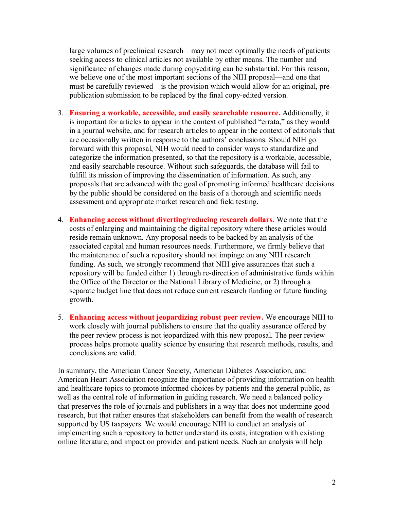large volumes of preclinical research—may not meet optimally the needs of patients seeking access to clinical articles not available by other means. The number and significance of changes made during copyediting can be substantial. For this reason, we believe one of the most important sections of the NIH proposal—and one that must be carefully reviewed—is the provision which would allow for an original, prepublication submission to be replaced by the final copy-edited version.

- 3. **Ensuring a workable, accessible, and easily searchable resource.** Additionally, it is important for articles to appear in the context of published "errata," as they would in a journal website, and for research articles to appear in the context of editorials that are occasionally written in response to the authors' conclusions. Should NIH go forward with this proposal, NIH would need to consider ways to standardize and categorize the information presented, so that the repository is a workable, accessible, and easily searchable resource. Without such safeguards, the database will fail to fulfill its mission of improving the dissemination of information. As such, any proposals that are advanced with the goal of promoting informed healthcare decisions by the public should be considered on the basis of a thorough and scientific needs assessment and appropriate market research and field testing.
- 4. **Enhancing access without diverting/reducing research dollars.** We note that the costs of enlarging and maintaining the digital repository where these articles would reside remain unknown. Any proposal needs to be backed by an analysis of the associated capital and human resources needs. Furthermore, we firmly believe that the maintenance of such a repository should not impinge on any NIH research funding. As such, we strongly recommend that NIH give assurances that such a repository will be funded either 1) through re-direction of administrative funds within the Office of the Director or the National Library of Medicine, or 2) through a separate budget line that does not reduce current research funding or future funding growth.
- 5. **Enhancing access without jeopardizing robust peer review.** We encourage NIH to work closely with journal publishers to ensure that the quality assurance offered by the peer review process is not jeopardized with this new proposal. The peer review process helps promote quality science by ensuring that research methods, results, and conclusions are valid.

In summary, the American Cancer Society, American Diabetes Association, and American Heart Association recognize the importance of providing information on health and healthcare topics to promote informed choices by patients and the general public, as well as the central role of information in guiding research. We need a balanced policy that preserves the role of journals and publishers in a way that does not undermine good research, but that rather ensures that stakeholders can benefit from the wealth of research supported by US taxpayers. We would encourage NIH to conduct an analysis of implementing such a repository to better understand its costs, integration with existing online literature, and impact on provider and patient needs. Such an analysis will help